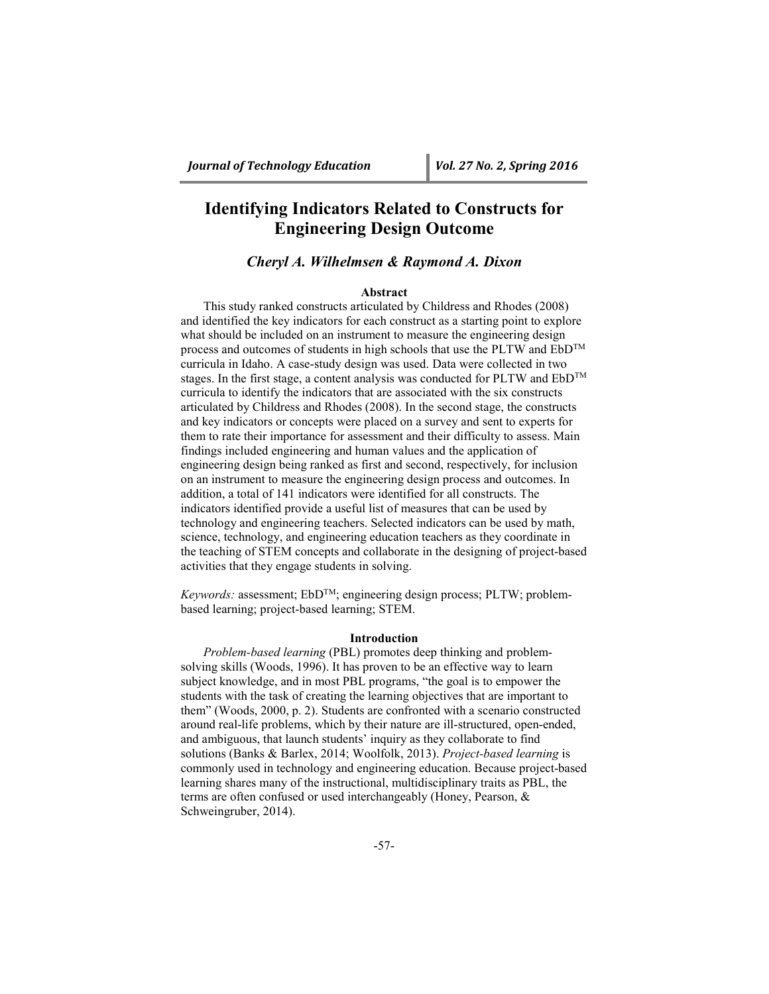# **Identifying Indicators Related to Constructs for Engineering Design Outcome**

# *Cheryl A. Wilhelmsen & Raymond A. Dixon*

# **Abstract**

This study ranked constructs articulated by Childress and Rhodes (2008) and identified the key indicators for each construct as a starting point to explore what should be included on an instrument to measure the engineering design process and outcomes of students in high schools that use the PLTW and EbDTM curricula in Idaho. A case-study design was used. Data were collected in two stages. In the first stage, a content analysis was conducted for PLTW and  $E\ddot{\text{b}}D^{TM}$ curricula to identify the indicators that are associated with the six constructs articulated by Childress and Rhodes (2008). In the second stage, the constructs and key indicators or concepts were placed on a survey and sent to experts for them to rate their importance for assessment and their difficulty to assess. Main findings included engineering and human values and the application of engineering design being ranked as first and second, respectively, for inclusion on an instrument to measure the engineering design process and outcomes. In addition, a total of 141 indicators were identified for all constructs. The indicators identified provide a useful list of measures that can be used by technology and engineering teachers. Selected indicators can be used by math, science, technology, and engineering education teachers as they coordinate in the teaching of STEM concepts and collaborate in the designing of project-based activities that they engage students in solving.

*Keywords: assessment; EbD<sup>TM</sup>; engineering design process; PLTW; problem*based learning; project-based learning; STEM.

#### **Introduction**

*Problem-based learning* (PBL) promotes deep thinking and problemsolving skills (Woods, 1996). It has proven to be an effective way to learn subject knowledge, and in most PBL programs, "the goal is to empower the students with the task of creating the learning objectives that are important to them" (Woods, 2000, p. 2). Students are confronted with a scenario constructed around real-life problems, which by their nature are ill-structured, open-ended, and ambiguous, that launch students' inquiry as they collaborate to find solutions (Banks & Barlex, 2014; Woolfolk, 2013). *Project-based learning* is commonly used in technology and engineering education. Because project-based learning shares many of the instructional, multidisciplinary traits as PBL, the terms are often confused or used interchangeably (Honey, Pearson, & Schweingruber, 2014).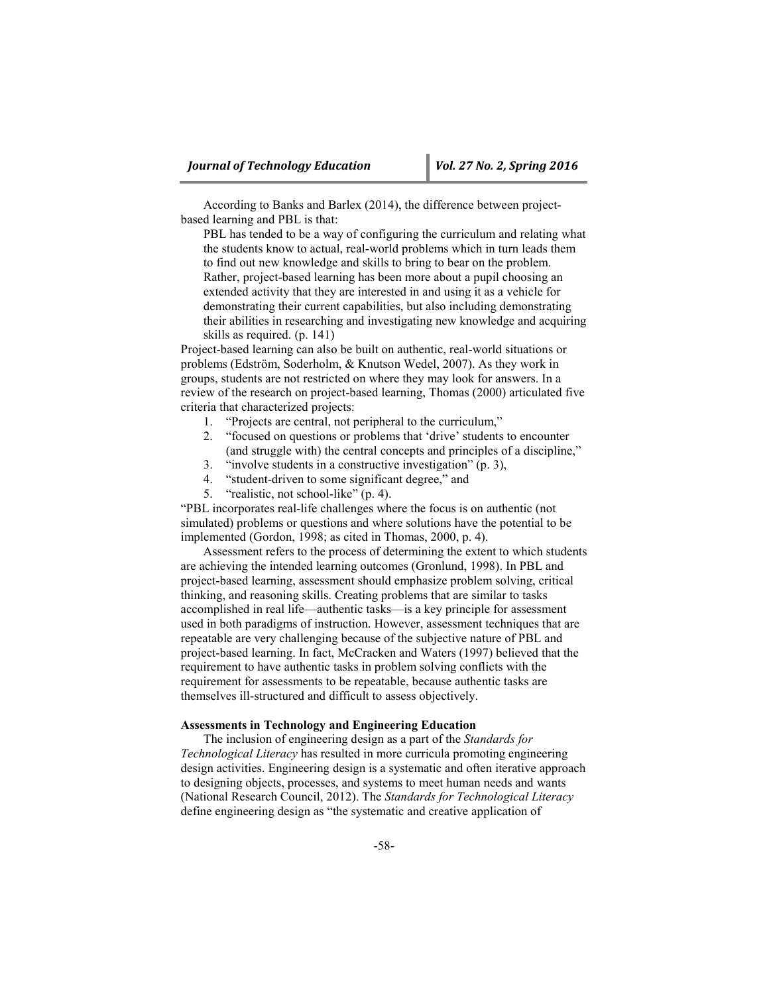According to Banks and Barlex (2014), the difference between projectbased learning and PBL is that:

PBL has tended to be a way of configuring the curriculum and relating what the students know to actual, real-world problems which in turn leads them to find out new knowledge and skills to bring to bear on the problem. Rather, project-based learning has been more about a pupil choosing an extended activity that they are interested in and using it as a vehicle for demonstrating their current capabilities, but also including demonstrating their abilities in researching and investigating new knowledge and acquiring skills as required. (p. 141)

Project-based learning can also be built on authentic, real-world situations or problems (Edström, Soderholm, & Knutson Wedel, 2007). As they work in groups, students are not restricted on where they may look for answers. In a review of the research on project-based learning, Thomas (2000) articulated five criteria that characterized projects:

- 1. "Projects are central, not peripheral to the curriculum,"
- 2. "focused on questions or problems that 'drive' students to encounter (and struggle with) the central concepts and principles of a discipline,"
- 3. "involve students in a constructive investigation" (p. 3),
- 4. "student-driven to some significant degree," and
- 5. "realistic, not school-like" (p. 4).

"PBL incorporates real-life challenges where the focus is on authentic (not simulated) problems or questions and where solutions have the potential to be implemented (Gordon, 1998; as cited in Thomas, 2000, p. 4).

Assessment refers to the process of determining the extent to which students are achieving the intended learning outcomes (Gronlund, 1998). In PBL and project-based learning, assessment should emphasize problem solving, critical thinking, and reasoning skills. Creating problems that are similar to tasks accomplished in real life—authentic tasks—is a key principle for assessment used in both paradigms of instruction. However, assessment techniques that are repeatable are very challenging because of the subjective nature of PBL and project-based learning. In fact, McCracken and Waters (1997) believed that the requirement to have authentic tasks in problem solving conflicts with the requirement for assessments to be repeatable, because authentic tasks are themselves ill-structured and difficult to assess objectively.

# **Assessments in Technology and Engineering Education**

The inclusion of engineering design as a part of the *Standards for Technological Literacy* has resulted in more curricula promoting engineering design activities. Engineering design is a systematic and often iterative approach to designing objects, processes, and systems to meet human needs and wants (National Research Council, 2012). The *Standards for Technological Literacy* define engineering design as "the systematic and creative application of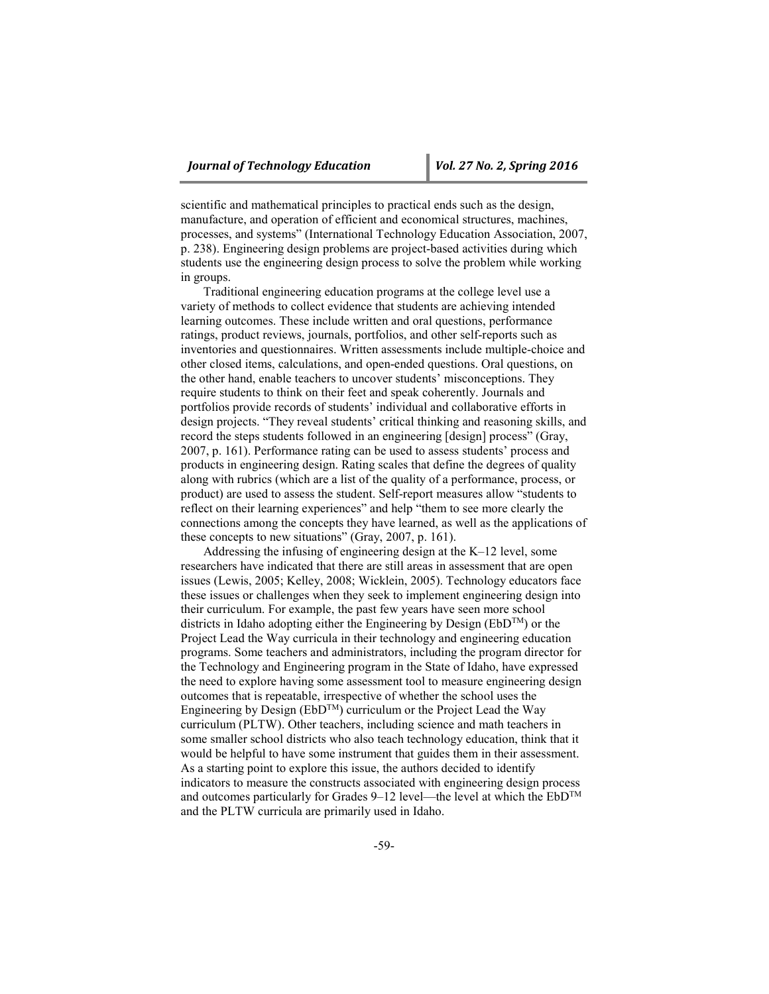scientific and mathematical principles to practical ends such as the design, manufacture, and operation of efficient and economical structures, machines, processes, and systems" (International Technology Education Association, 2007, p. 238). Engineering design problems are project-based activities during which students use the engineering design process to solve the problem while working in groups.

Traditional engineering education programs at the college level use a variety of methods to collect evidence that students are achieving intended learning outcomes. These include written and oral questions, performance ratings, product reviews, journals, portfolios, and other self-reports such as inventories and questionnaires. Written assessments include multiple-choice and other closed items, calculations, and open-ended questions. Oral questions, on the other hand, enable teachers to uncover students' misconceptions. They require students to think on their feet and speak coherently. Journals and portfolios provide records of students' individual and collaborative efforts in design projects. "They reveal students' critical thinking and reasoning skills, and record the steps students followed in an engineering [design] process" (Gray, 2007, p. 161). Performance rating can be used to assess students' process and products in engineering design. Rating scales that define the degrees of quality along with rubrics (which are a list of the quality of a performance, process, or product) are used to assess the student. Self-report measures allow "students to reflect on their learning experiences" and help "them to see more clearly the connections among the concepts they have learned, as well as the applications of these concepts to new situations" (Gray, 2007, p. 161).

Addressing the infusing of engineering design at the K–12 level, some researchers have indicated that there are still areas in assessment that are open issues (Lewis, 2005; Kelley, 2008; Wicklein, 2005). Technology educators face these issues or challenges when they seek to implement engineering design into their curriculum. For example, the past few years have seen more school districts in Idaho adopting either the Engineering by Design ( $EbD^{TM}$ ) or the Project Lead the Way curricula in their technology and engineering education programs. Some teachers and administrators, including the program director for the Technology and Engineering program in the State of Idaho, have expressed the need to explore having some assessment tool to measure engineering design outcomes that is repeatable, irrespective of whether the school uses the Engineering by Design ( $EbD^{TM}$ ) curriculum or the Project Lead the Way curriculum (PLTW). Other teachers, including science and math teachers in some smaller school districts who also teach technology education, think that it would be helpful to have some instrument that guides them in their assessment. As a starting point to explore this issue, the authors decided to identify indicators to measure the constructs associated with engineering design process and outcomes particularly for Grades 9–12 level—the level at which the  $EbD^{TM}$ and the PLTW curricula are primarily used in Idaho.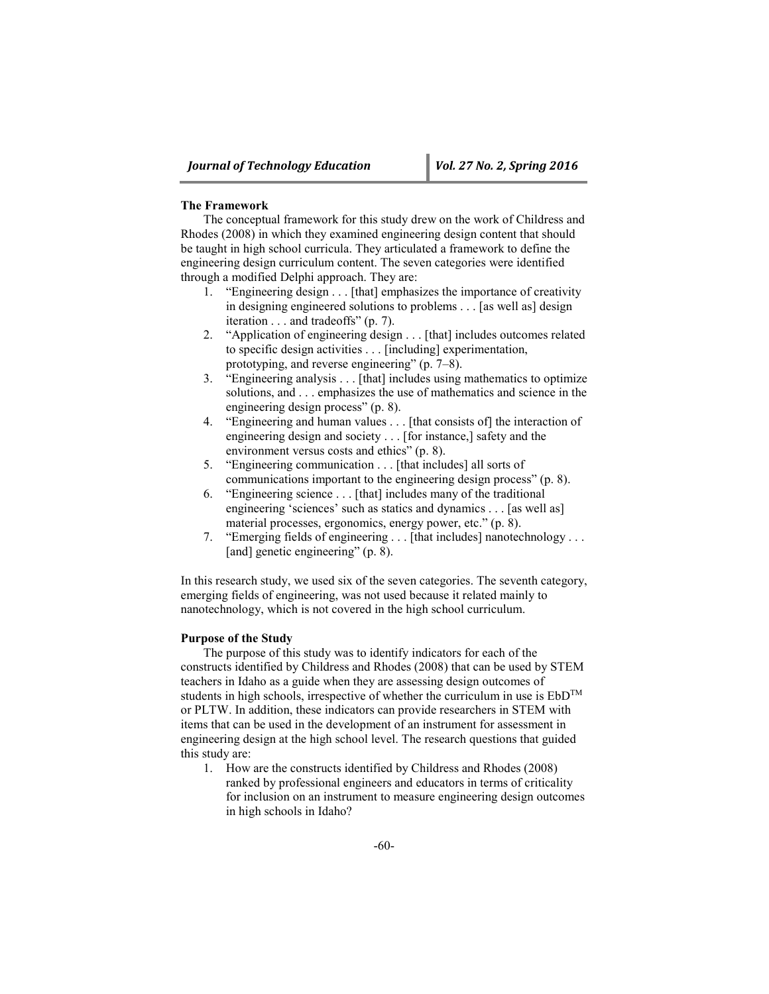## **The Framework**

The conceptual framework for this study drew on the work of Childress and Rhodes (2008) in which they examined engineering design content that should be taught in high school curricula. They articulated a framework to define the engineering design curriculum content. The seven categories were identified through a modified Delphi approach. They are:

- 1. "Engineering design . . . [that] emphasizes the importance of creativity in designing engineered solutions to problems . . . [as well as] design iteration . . . and tradeoffs" (p. 7).
- 2. "Application of engineering design . . . [that] includes outcomes related to specific design activities . . . [including] experimentation, prototyping, and reverse engineering" (p. 7–8).
- 3. "Engineering analysis . . . [that] includes using mathematics to optimize solutions, and . . . emphasizes the use of mathematics and science in the engineering design process" (p. 8).
- 4. "Engineering and human values . . . [that consists of] the interaction of engineering design and society . . . [for instance,] safety and the environment versus costs and ethics" (p. 8).
- 5. "Engineering communication . . . [that includes] all sorts of communications important to the engineering design process" (p. 8).
- 6. "Engineering science . . . [that] includes many of the traditional engineering 'sciences' such as statics and dynamics . . . [as well as] material processes, ergonomics, energy power, etc." (p. 8).
- 7. "Emerging fields of engineering . . . [that includes] nanotechnology . . . [and] genetic engineering" (p. 8).

In this research study, we used six of the seven categories. The seventh category, emerging fields of engineering, was not used because it related mainly to nanotechnology, which is not covered in the high school curriculum.

### **Purpose of the Study**

The purpose of this study was to identify indicators for each of the constructs identified by Childress and Rhodes (2008) that can be used by STEM teachers in Idaho as a guide when they are assessing design outcomes of students in high schools, irrespective of whether the curriculum in use is  $EbD^{TM}$ or PLTW. In addition, these indicators can provide researchers in STEM with items that can be used in the development of an instrument for assessment in engineering design at the high school level. The research questions that guided this study are:

1. How are the constructs identified by Childress and Rhodes (2008) ranked by professional engineers and educators in terms of criticality for inclusion on an instrument to measure engineering design outcomes in high schools in Idaho?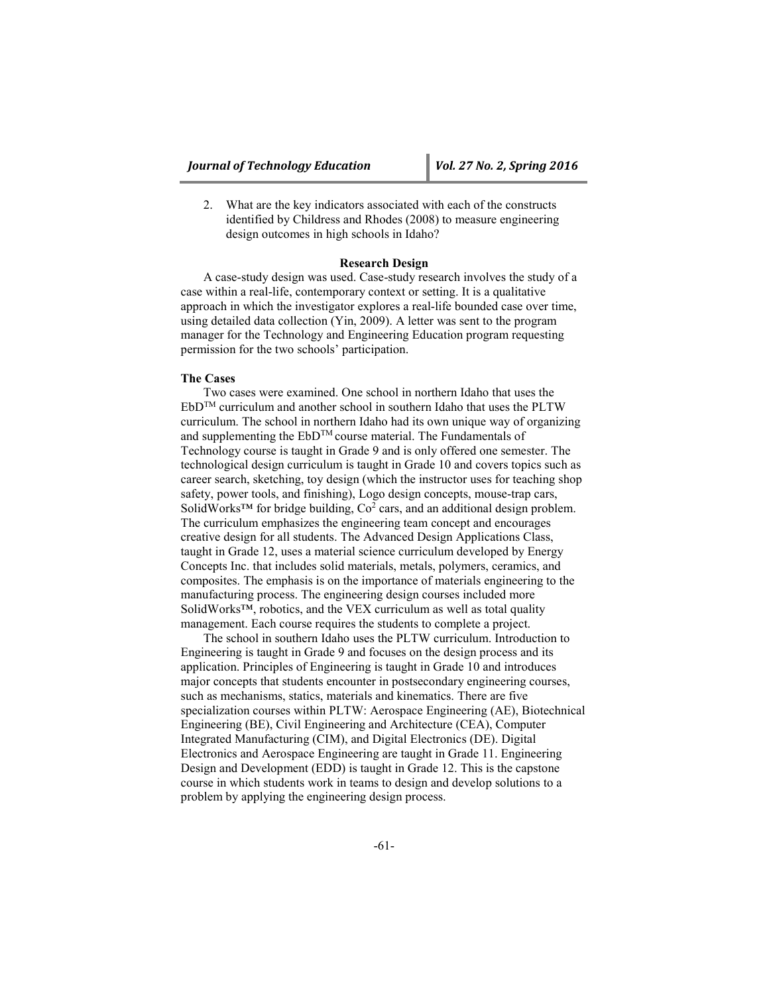2. What are the key indicators associated with each of the constructs identified by Childress and Rhodes (2008) to measure engineering design outcomes in high schools in Idaho?

## **Research Design**

A case-study design was used. Case-study research involves the study of a case within a real-life, contemporary context or setting. It is a qualitative approach in which the investigator explores a real-life bounded case over time, using detailed data collection (Yin, 2009). A letter was sent to the program manager for the Technology and Engineering Education program requesting permission for the two schools' participation.

# **The Cases**

Two cases were examined. One school in northern Idaho that uses the EbDTM curriculum and another school in southern Idaho that uses the PLTW curriculum. The school in northern Idaho had its own unique way of organizing and supplementing the EbDTM course material. The Fundamentals of Technology course is taught in Grade 9 and is only offered one semester. The technological design curriculum is taught in Grade 10 and covers topics such as career search, sketching, toy design (which the instructor uses for teaching shop safety, power tools, and finishing), Logo design concepts, mouse-trap cars, SolidWorks<sup>™</sup> for bridge building,  $Co<sup>2</sup>$  cars, and an additional design problem. The curriculum emphasizes the engineering team concept and encourages creative design for all students. The Advanced Design Applications Class, taught in Grade 12, uses a material science curriculum developed by Energy Concepts Inc. that includes solid materials, metals, polymers, ceramics, and composites. The emphasis is on the importance of materials engineering to the manufacturing process. The engineering design courses included more SolidWorks™, robotics, and the VEX curriculum as well as total quality management. Each course requires the students to complete a project.

The school in southern Idaho uses the PLTW curriculum. Introduction to Engineering is taught in Grade 9 and focuses on the design process and its application. Principles of Engineering is taught in Grade 10 and introduces major concepts that students encounter in postsecondary engineering courses, such as mechanisms, statics, materials and kinematics. There are five specialization courses within PLTW: Aerospace Engineering (AE), Biotechnical Engineering (BE), Civil Engineering and Architecture (CEA), Computer Integrated Manufacturing (CIM), and Digital Electronics (DE). Digital Electronics and Aerospace Engineering are taught in Grade 11. Engineering Design and Development (EDD) is taught in Grade 12. This is the capstone course in which students work in teams to design and develop solutions to a problem by applying the engineering design process.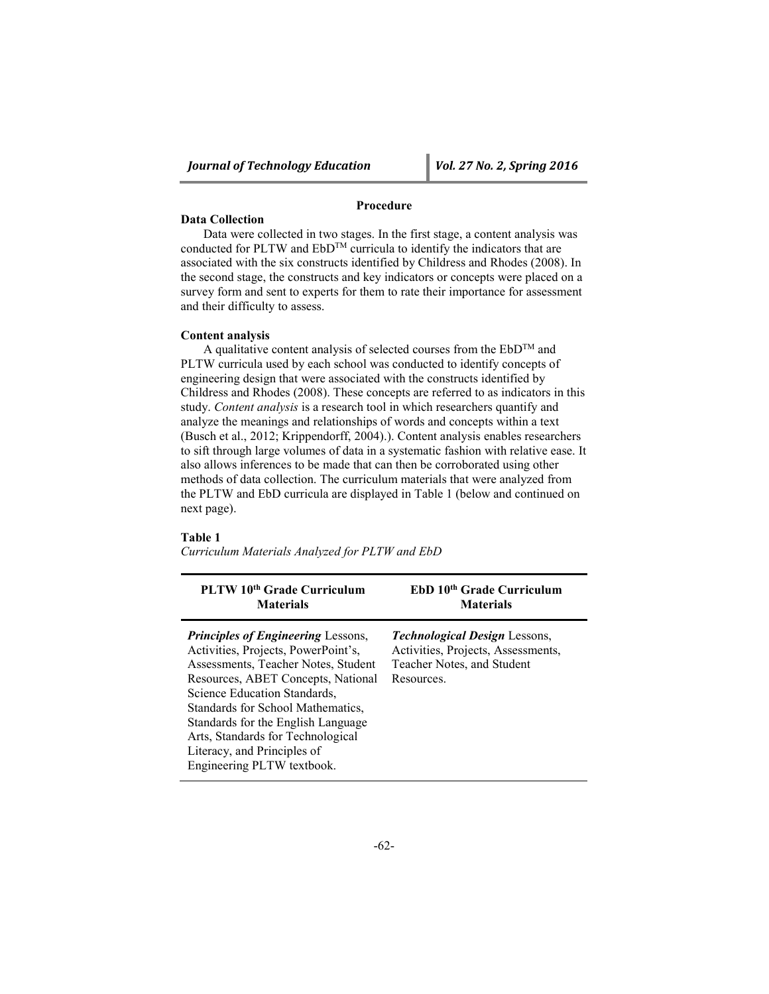# **Procedure**

### **Data Collection**

Data were collected in two stages. In the first stage, a content analysis was conducted for PLTW and  $EbD^{TM}$  curricula to identify the indicators that are associated with the six constructs identified by Childress and Rhodes (2008). In the second stage, the constructs and key indicators or concepts were placed on a survey form and sent to experts for them to rate their importance for assessment and their difficulty to assess.

# **Content analysis**

A qualitative content analysis of selected courses from the  $EbD^{TM}$  and PLTW curricula used by each school was conducted to identify concepts of engineering design that were associated with the constructs identified by Childress and Rhodes (2008). These concepts are referred to as indicators in this study. *Content analysis* is a research tool in which researchers quantify and analyze the meanings and relationships of words and concepts within a text (Busch et al., 2012; Krippendorff, 2004).). Content analysis enables researchers to sift through large volumes of data in a systematic fashion with relative ease. It also allows inferences to be made that can then be corroborated using other methods of data collection. The curriculum materials that were analyzed from the PLTW and EbD curricula are displayed in Table 1 (below and continued on next page).

# **Table 1**

*Curriculum Materials Analyzed for PLTW and EbD*

| PLTW 10 <sup>th</sup> Grade Curriculum                                                                                                                                                                                                                                                                                                                                     | EbD 10 <sup>th</sup> Grade Curriculum                                                                                  |
|----------------------------------------------------------------------------------------------------------------------------------------------------------------------------------------------------------------------------------------------------------------------------------------------------------------------------------------------------------------------------|------------------------------------------------------------------------------------------------------------------------|
| <b>Materials</b>                                                                                                                                                                                                                                                                                                                                                           | <b>Materials</b>                                                                                                       |
| <b>Principles of Engineering Lessons,</b><br>Activities, Projects, PowerPoint's,<br>Assessments, Teacher Notes, Student<br>Resources, ABET Concepts, National<br>Science Education Standards,<br>Standards for School Mathematics.<br>Standards for the English Language<br>Arts, Standards for Technological<br>Literacy, and Principles of<br>Engineering PLTW textbook. | <b>Technological Design Lessons,</b><br>Activities, Projects, Assessments,<br>Teacher Notes, and Student<br>Resources. |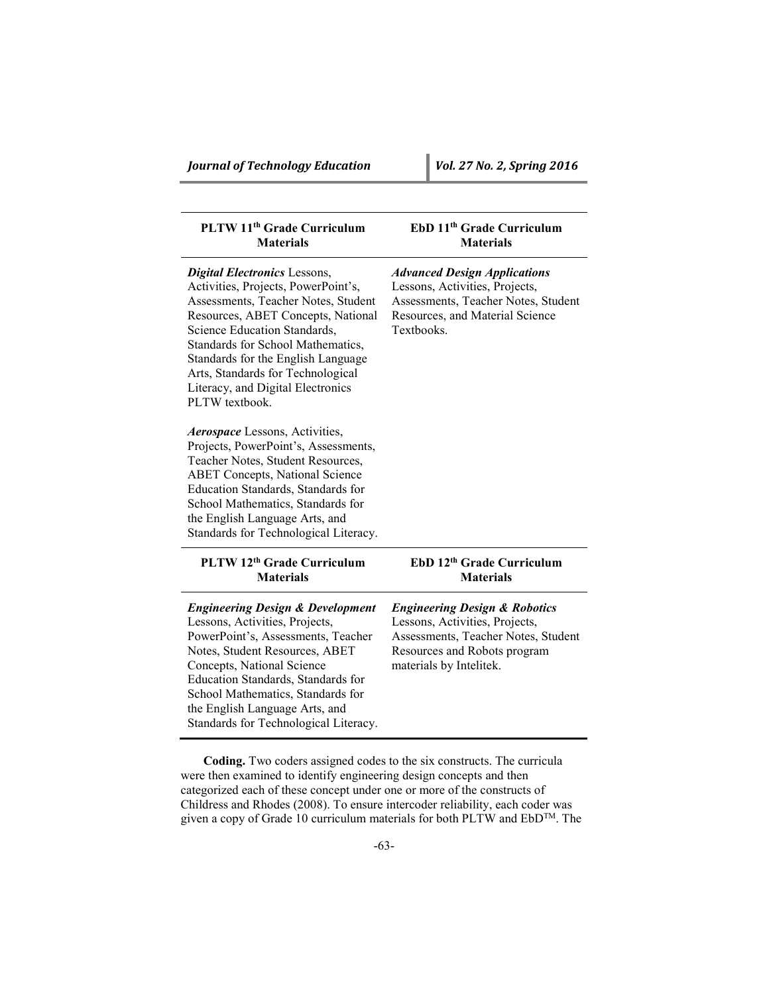| PLTW 11 <sup>th</sup> Grade Curriculum<br><b>Materials</b>                                                                                                                                                                                                                                                                                                     | EbD 11 <sup>th</sup> Grade Curriculum<br><b>Materials</b>                                                                                                                    |
|----------------------------------------------------------------------------------------------------------------------------------------------------------------------------------------------------------------------------------------------------------------------------------------------------------------------------------------------------------------|------------------------------------------------------------------------------------------------------------------------------------------------------------------------------|
| <b>Digital Electronics Lessons,</b><br>Activities, Projects, PowerPoint's,<br>Assessments, Teacher Notes, Student<br>Resources, ABET Concepts, National<br>Science Education Standards,<br>Standards for School Mathematics,<br>Standards for the English Language<br>Arts, Standards for Technological<br>Literacy, and Digital Electronics<br>PLTW textbook. | <b>Advanced Design Applications</b><br>Lessons, Activities, Projects,<br>Assessments, Teacher Notes, Student<br>Resources, and Material Science<br>Textbooks.                |
| Aerospace Lessons, Activities,<br>Projects, PowerPoint's, Assessments,<br>Teacher Notes, Student Resources,<br><b>ABET Concepts, National Science</b><br>Education Standards, Standards for<br>School Mathematics, Standards for<br>the English Language Arts, and<br>Standards for Technological Literacy.                                                    |                                                                                                                                                                              |
| PLTW 12th Grade Curriculum<br><b>Materials</b>                                                                                                                                                                                                                                                                                                                 | EbD 12th Grade Curriculum<br><b>Materials</b>                                                                                                                                |
| <b>Engineering Design &amp; Development</b><br>Lessons, Activities, Projects,<br>PowerPoint's, Assessments, Teacher<br>Notes, Student Resources, ABET<br>Concepts, National Science<br>Education Standards, Standards for<br>School Mathematics, Standards for<br>the English Language Arts, and<br>Standards for Technological Literacy.                      | <b>Engineering Design &amp; Robotics</b><br>Lessons, Activities, Projects,<br>Assessments, Teacher Notes, Student<br>Resources and Robots program<br>materials by Intelitek. |

**Coding.** Two coders assigned codes to the six constructs. The curricula were then examined to identify engineering design concepts and then categorized each of these concept under one or more of the constructs of Childress and Rhodes (2008). To ensure intercoder reliability, each coder was given a copy of Grade 10 curriculum materials for both PLTW and EbD™. The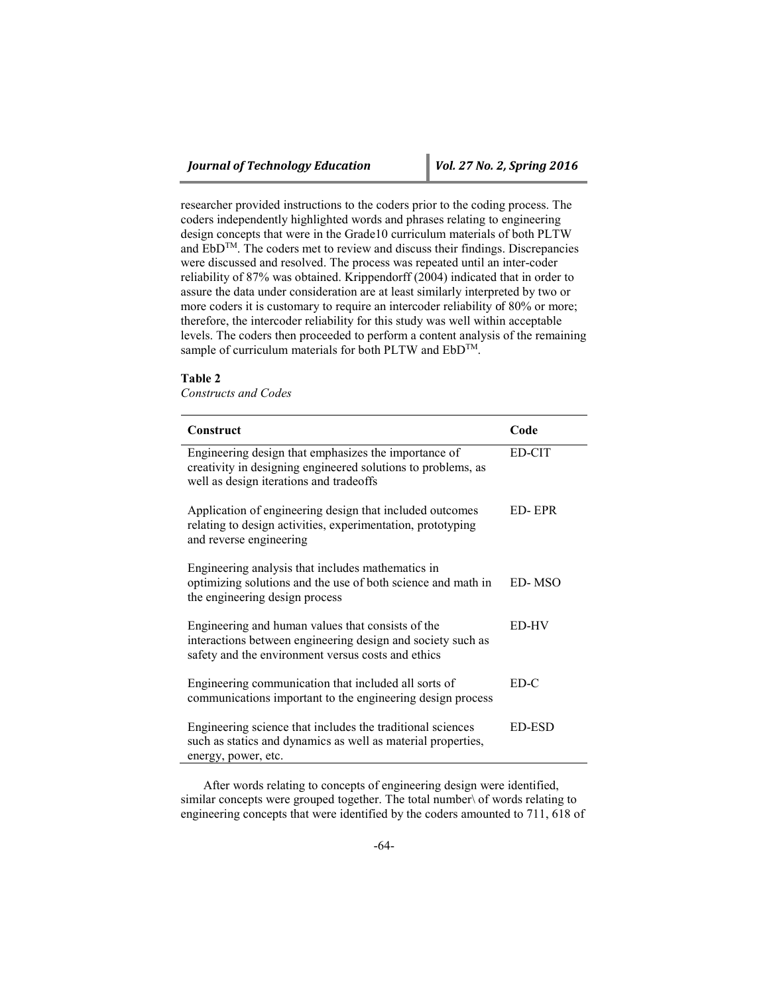researcher provided instructions to the coders prior to the coding process. The coders independently highlighted words and phrases relating to engineering design concepts that were in the Grade10 curriculum materials of both PLTW and EbDTM. The coders met to review and discuss their findings. Discrepancies were discussed and resolved. The process was repeated until an inter-coder reliability of 87% was obtained. Krippendorff (2004) indicated that in order to assure the data under consideration are at least similarly interpreted by two or more coders it is customary to require an intercoder reliability of 80% or more; therefore, the intercoder reliability for this study was well within acceptable levels. The coders then proceeded to perform a content analysis of the remaining sample of curriculum materials for both PLTW and EbD<sup>TM</sup>.

### **Table 2**

*Constructs and Codes*

| Construct                                                                                                                                                              | Code   |
|------------------------------------------------------------------------------------------------------------------------------------------------------------------------|--------|
| Engineering design that emphasizes the importance of<br>creativity in designing engineered solutions to problems, as<br>well as design iterations and tradeoffs        | ED-CIT |
| Application of engineering design that included outcomes<br>relating to design activities, experimentation, prototyping<br>and reverse engineering                     | ED-EPR |
| Engineering analysis that includes mathematics in<br>optimizing solutions and the use of both science and math in<br>the engineering design process                    | ED-MSO |
| Engineering and human values that consists of the<br>interactions between engineering design and society such as<br>safety and the environment versus costs and ethics | ED-HV  |
| Engineering communication that included all sorts of<br>communications important to the engineering design process                                                     | ED-C   |
| Engineering science that includes the traditional sciences<br>such as statics and dynamics as well as material properties,<br>energy, power, etc.                      | ED-ESD |

After words relating to concepts of engineering design were identified, similar concepts were grouped together. The total number\ of words relating to engineering concepts that were identified by the coders amounted to 711, 618 of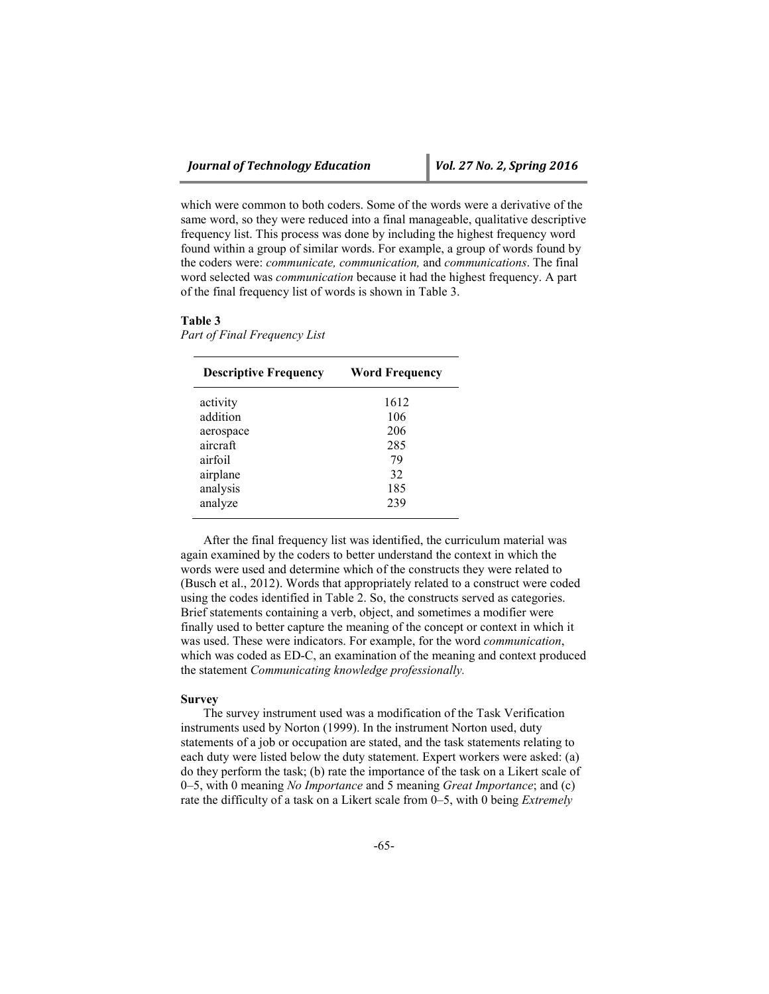which were common to both coders. Some of the words were a derivative of the same word, so they were reduced into a final manageable, qualitative descriptive frequency list. This process was done by including the highest frequency word found within a group of similar words. For example, a group of words found by the coders were: *communicate, communication,* and *communications*. The final word selected was *communication* because it had the highest frequency. A part of the final frequency list of words is shown in Table 3.

#### **Table 3**

*Part of Final Frequency List* 

| <b>Descriptive Frequency</b> | <b>Word Frequency</b> |
|------------------------------|-----------------------|
| activity                     | 1612                  |
| addition                     | 106                   |
| aerospace                    | 206                   |
| aircraft                     | 285                   |
| airfoil                      | 79                    |
| airplane                     | 32                    |
| analysis                     | 185                   |
| analyze                      | 239                   |

After the final frequency list was identified, the curriculum material was again examined by the coders to better understand the context in which the words were used and determine which of the constructs they were related to (Busch et al., 2012). Words that appropriately related to a construct were coded using the codes identified in Table 2. So, the constructs served as categories. Brief statements containing a verb, object, and sometimes a modifier were finally used to better capture the meaning of the concept or context in which it was used. These were indicators. For example, for the word *communication*, which was coded as ED-C, an examination of the meaning and context produced the statement *Communicating knowledge professionally.*

# **Survey**

The survey instrument used was a modification of the Task Verification instruments used by Norton (1999). In the instrument Norton used, duty statements of a job or occupation are stated, and the task statements relating to each duty were listed below the duty statement. Expert workers were asked: (a) do they perform the task; (b) rate the importance of the task on a Likert scale of 0–5, with 0 meaning *No Importance* and 5 meaning *Great Importance*; and (c) rate the difficulty of a task on a Likert scale from 0–5, with 0 being *Extremely*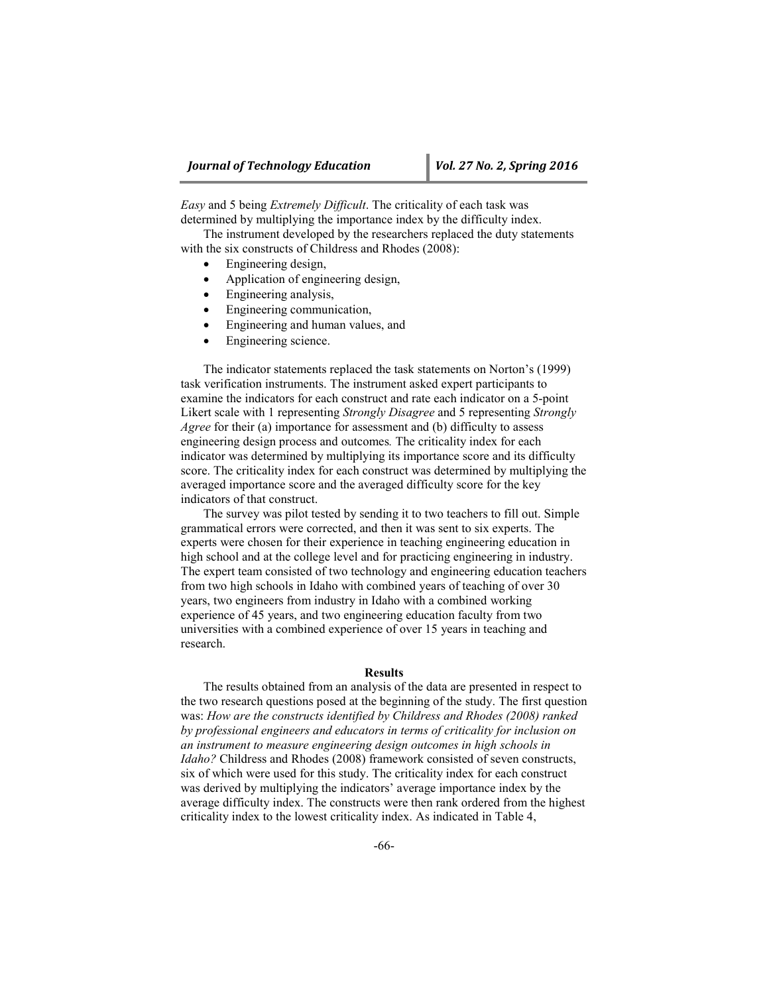*Easy* and 5 being *Extremely Difficult*. The criticality of each task was determined by multiplying the importance index by the difficulty index.

The instrument developed by the researchers replaced the duty statements with the six constructs of Childress and Rhodes (2008):

- Engineering design,
- Application of engineering design,
- Engineering analysis,
- Engineering communication,
- Engineering and human values, and
- Engineering science.

The indicator statements replaced the task statements on Norton's (1999) task verification instruments. The instrument asked expert participants to examine the indicators for each construct and rate each indicator on a 5-point Likert scale with 1 representing *Strongly Disagree* and 5 representing *Strongly Agree* for their (a) importance for assessment and (b) difficulty to assess engineering design process and outcomes*.* The criticality index for each indicator was determined by multiplying its importance score and its difficulty score. The criticality index for each construct was determined by multiplying the averaged importance score and the averaged difficulty score for the key indicators of that construct.

The survey was pilot tested by sending it to two teachers to fill out. Simple grammatical errors were corrected, and then it was sent to six experts. The experts were chosen for their experience in teaching engineering education in high school and at the college level and for practicing engineering in industry. The expert team consisted of two technology and engineering education teachers from two high schools in Idaho with combined years of teaching of over 30 years, two engineers from industry in Idaho with a combined working experience of 45 years, and two engineering education faculty from two universities with a combined experience of over 15 years in teaching and research.

### **Results**

The results obtained from an analysis of the data are presented in respect to the two research questions posed at the beginning of the study. The first question was: *How are the constructs identified by Childress and Rhodes (2008) ranked by professional engineers and educators in terms of criticality for inclusion on an instrument to measure engineering design outcomes in high schools in Idaho?* Childress and Rhodes (2008) framework consisted of seven constructs, six of which were used for this study. The criticality index for each construct was derived by multiplying the indicators' average importance index by the average difficulty index. The constructs were then rank ordered from the highest criticality index to the lowest criticality index. As indicated in Table 4,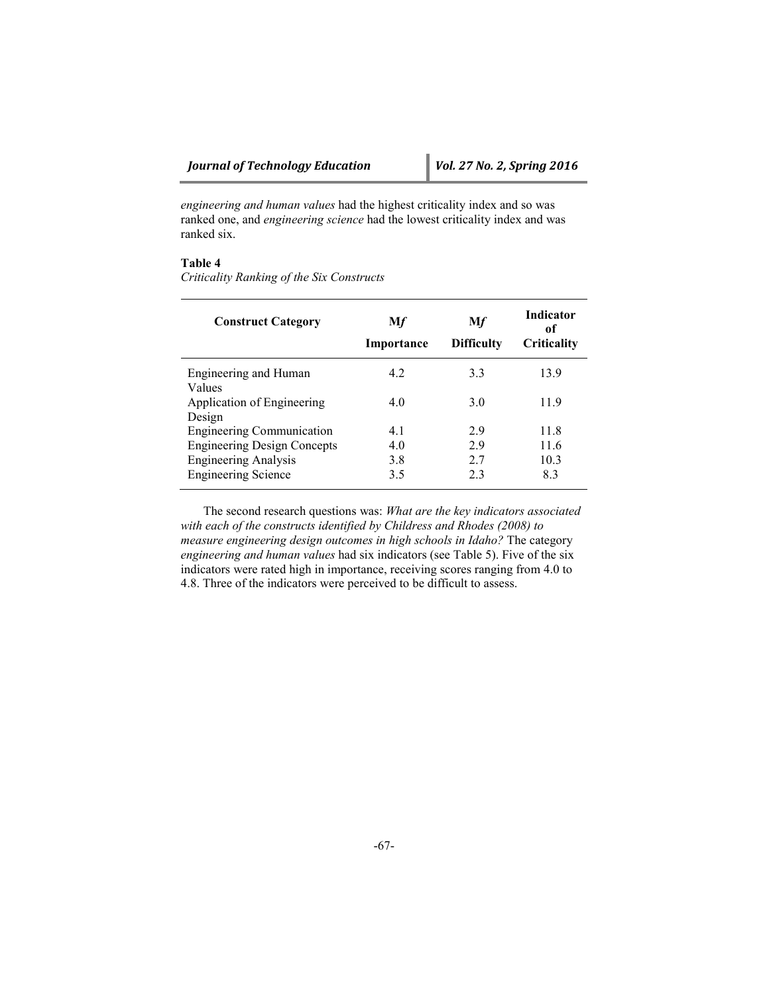*engineering and human values* had the highest criticality index and so was ranked one, and *engineering science* had the lowest criticality index and was ranked six.

# **Table 4**

*Criticality Ranking of the Six Constructs*

| <b>Construct Category</b>            | Mf<br>Importance | Mf<br><b>Difficulty</b> | <b>Indicator</b><br>of<br>Criticality |
|--------------------------------------|------------------|-------------------------|---------------------------------------|
| Engineering and Human                | 4.2              | 3.3                     | 13.9                                  |
| Values<br>Application of Engineering | 4.0              | 30                      | 11.9                                  |
| Design                               |                  |                         |                                       |
| <b>Engineering Communication</b>     | 41               | 29                      | 11.8                                  |
| <b>Engineering Design Concepts</b>   | 4.0              | 29                      | 11.6                                  |
| <b>Engineering Analysis</b>          | 3.8              | 27                      | 10.3                                  |
| <b>Engineering Science</b>           | 3.5              | 23                      | 8.3                                   |

The second research questions was: *What are the key indicators associated with each of the constructs identified by Childress and Rhodes (2008) to measure engineering design outcomes in high schools in Idaho?* The category *engineering and human values* had six indicators (see Table 5). Five of the six indicators were rated high in importance, receiving scores ranging from 4.0 to 4.8. Three of the indicators were perceived to be difficult to assess.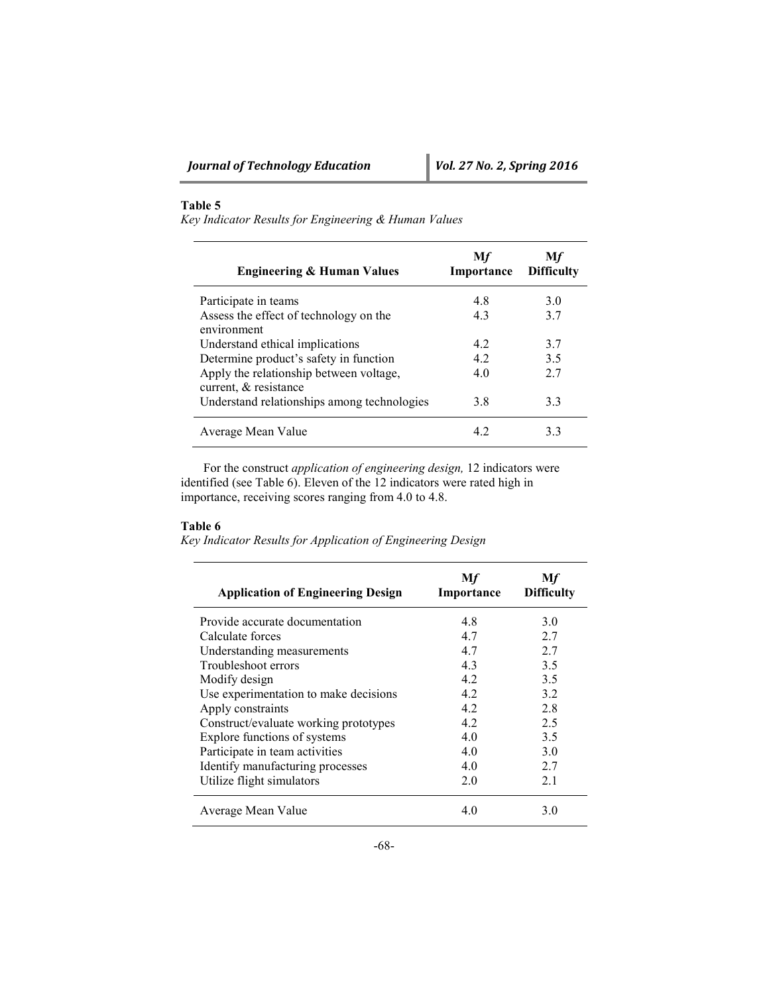# **Table 5**

*Key Indicator Results for Engineering & Human Values*

| <b>Engineering &amp; Human Values</b>                            | Mf<br>Importance | Мf<br><b>Difficulty</b> |
|------------------------------------------------------------------|------------------|-------------------------|
| Participate in teams                                             | 4.8              | 30                      |
| Assess the effect of technology on the<br>environment            | 4.3              | 37                      |
| Understand ethical implications                                  | 42               | 37                      |
| Determine product's safety in function                           | 42               | 3.5                     |
| Apply the relationship between voltage,<br>current, & resistance | 40               | 27                      |
| Understand relationships among technologies                      | 3.8              | 3.3                     |
| Average Mean Value                                               | 42               | 33                      |

For the construct *application of engineering design,* 12 indicators were identified (see Table 6). Eleven of the 12 indicators were rated high in importance, receiving scores ranging from 4.0 to 4.8.

# **Table 6**

*Key Indicator Results for Application of Engineering Design*

| <b>Application of Engineering Design</b> | Mf<br>Importance | Мf<br><b>Difficulty</b> |
|------------------------------------------|------------------|-------------------------|
| Provide accurate documentation           | 4.8              | 3.0                     |
| Calculate forces                         | 4.7              | 2.7                     |
| Understanding measurements               | 4.7              | 2.7                     |
| Troubleshoot errors                      | 43               | 3.5                     |
| Modify design                            | 42               | 3.5                     |
| Use experimentation to make decisions    | 42               | 3.2                     |
| Apply constraints                        | 4.2              | 2.8                     |
| Construct/evaluate working prototypes    | 42               | 2.5                     |
| Explore functions of systems             | 4.0              | 3.5                     |
| Participate in team activities           | 40               | 3.0                     |
| Identify manufacturing processes         | 4.0              | 2.7                     |
| Utilize flight simulators                | 20               | 2.1                     |
| Average Mean Value                       | 40               | 30                      |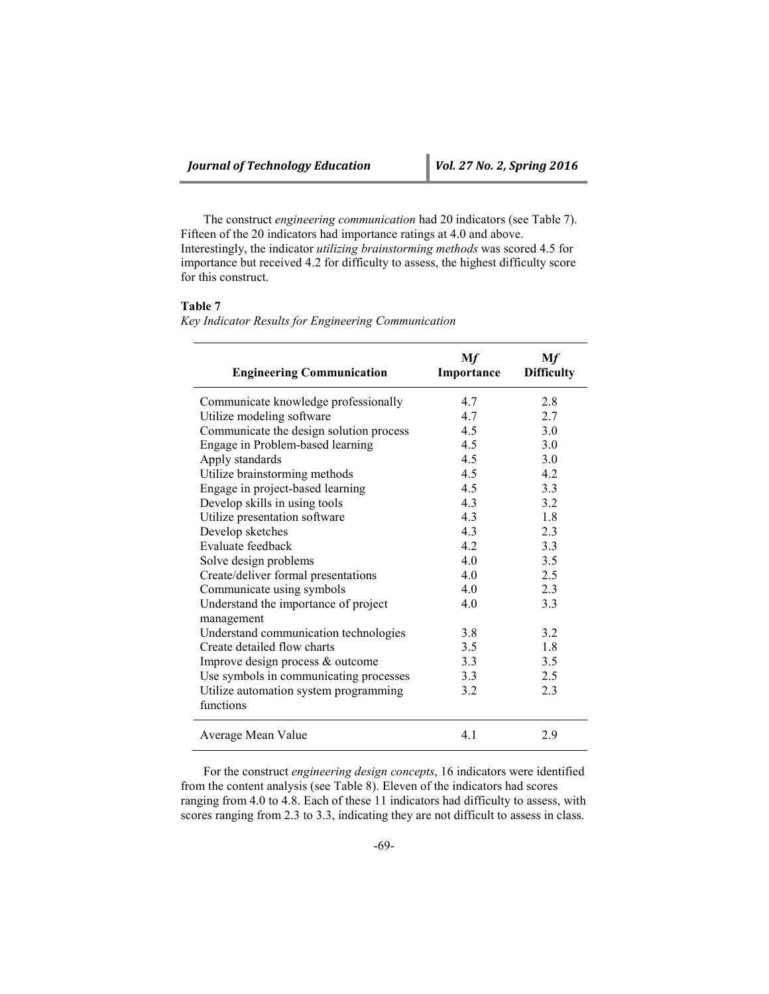The construct *engineering communication* had 20 indicators (see Table 7). Fifteen of the 20 indicators had importance ratings at 4.0 and above. Interestingly, the indicator *utilizing brainstorming methods* was scored 4.5 for importance but received 4.2 for difficulty to assess, the highest difficulty score for this construct.

| ลทเ<br>٦ι |  |
|-----------|--|
|-----------|--|

*Key Indicator Results for Engineering Communication*

| <b>Engineering Communication</b>                                     | Mf<br>Importance | Mf<br><b>Difficulty</b> |
|----------------------------------------------------------------------|------------------|-------------------------|
| Communicate knowledge professionally                                 | 4.7              | 2.8                     |
| Utilize modeling software                                            | 47               | 27                      |
| Communicate the design solution process                              | 4.5              | 3.0                     |
| Engage in Problem-based learning                                     | 4.5              | 3.0                     |
| Apply standards                                                      | 4.5              | 3.0                     |
| Utilize brainstorming methods                                        | 4.5              | 4.2                     |
| Engage in project-based learning                                     | 4.5              | 3.3                     |
| Develop skills in using tools                                        | 4.3              | 3.2                     |
| Utilize presentation software                                        | 4.3              | 1.8                     |
| Develop sketches                                                     | 4.3              | 2.3                     |
| Evaluate feedback                                                    | 42               | 3.3                     |
| Solve design problems                                                | 40               | 3.5                     |
| Create/deliver formal presentations                                  | 40               | 2.5                     |
| Communicate using symbols                                            | 4.0              | 2.3                     |
| Understand the importance of project                                 | 4.0              | 3.3                     |
| management                                                           | 3.8              | 3.2                     |
| Understand communication technologies<br>Create detailed flow charts | 3.5              | 1.8                     |
|                                                                      | 3.3              | 3.5                     |
| Improve design process & outcome                                     |                  | 2.5                     |
| Use symbols in communicating processes                               | 3.3<br>3.2       | 2.3                     |
| Utilize automation system programming<br>functions                   |                  |                         |
| Average Mean Value                                                   | 4.1              | 2.9                     |

For the construct *engineering design concepts*, 16 indicators were identified from the content analysis (see Table 8). Eleven of the indicators had scores ranging from 4.0 to 4.8. Each of these 11 indicators had difficulty to assess, with scores ranging from 2.3 to 3.3, indicating they are not difficult to assess in class.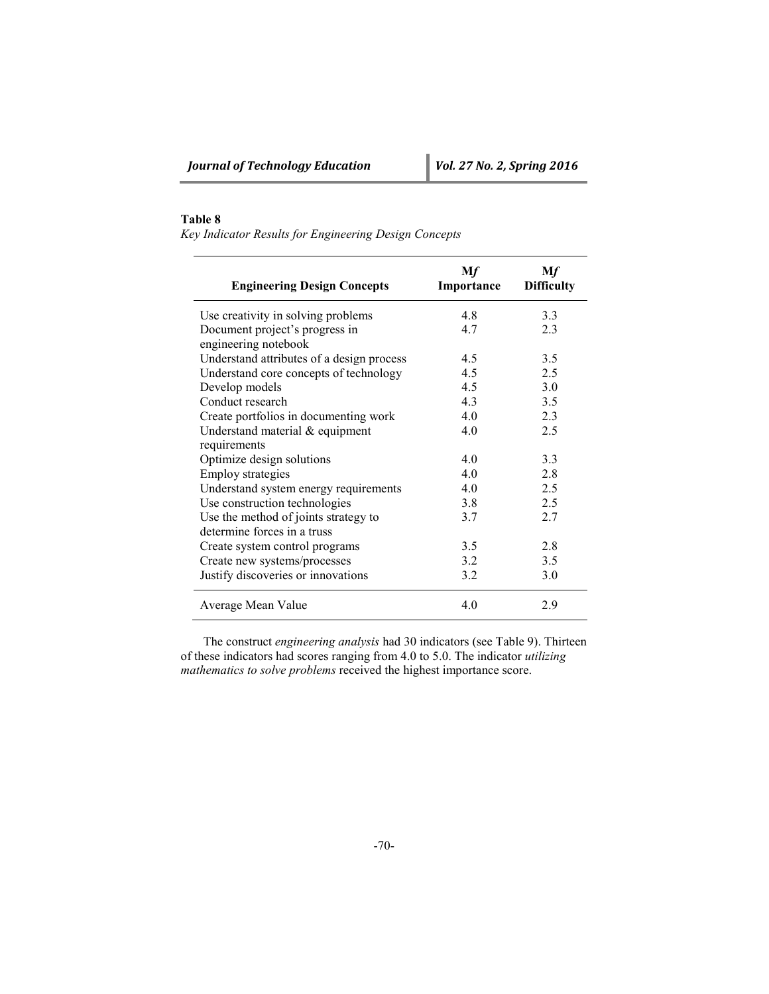# **Table 8**

*Key Indicator Results for Engineering Design Concepts*

| <b>Engineering Design Concepts</b>                     | Mf<br>Importance | Mf<br><b>Difficulty</b> |
|--------------------------------------------------------|------------------|-------------------------|
| Use creativity in solving problems                     | 4.8              | 3.3                     |
| Document project's progress in<br>engineering notebook | 4.7              | 2.3                     |
| Understand attributes of a design process              | 4.5              | 3.5                     |
| Understand core concepts of technology                 | 4.5              | 2.5                     |
| Develop models                                         | 4.5              | 3.0                     |
| Conduct research                                       | 4.3              | 3.5                     |
| Create portfolios in documenting work                  | 4.0              | 2.3                     |
| Understand material & equipment                        | 4.0              | 2.5                     |
| requirements                                           |                  |                         |
| Optimize design solutions                              | 4.0              | 3.3                     |
| <b>Employ strategies</b>                               | 40               | 2.8                     |
| Understand system energy requirements                  | 40               | 2.5                     |
| Use construction technologies                          | 3.8              | 2.5                     |
| Use the method of joints strategy to                   | 3.7              | 2.7                     |
| determine forces in a truss                            |                  |                         |
| Create system control programs                         | 3.5              | 2.8                     |
| Create new systems/processes                           | 3.2              | 3.5                     |
| Justify discoveries or innovations                     | 3.2              | 3.0                     |
| Average Mean Value                                     | 4.0              | 2.9                     |

The construct *engineering analysis* had 30 indicators (see Table 9). Thirteen of these indicators had scores ranging from 4.0 to 5.0. The indicator *utilizing mathematics to solve problems* received the highest importance score.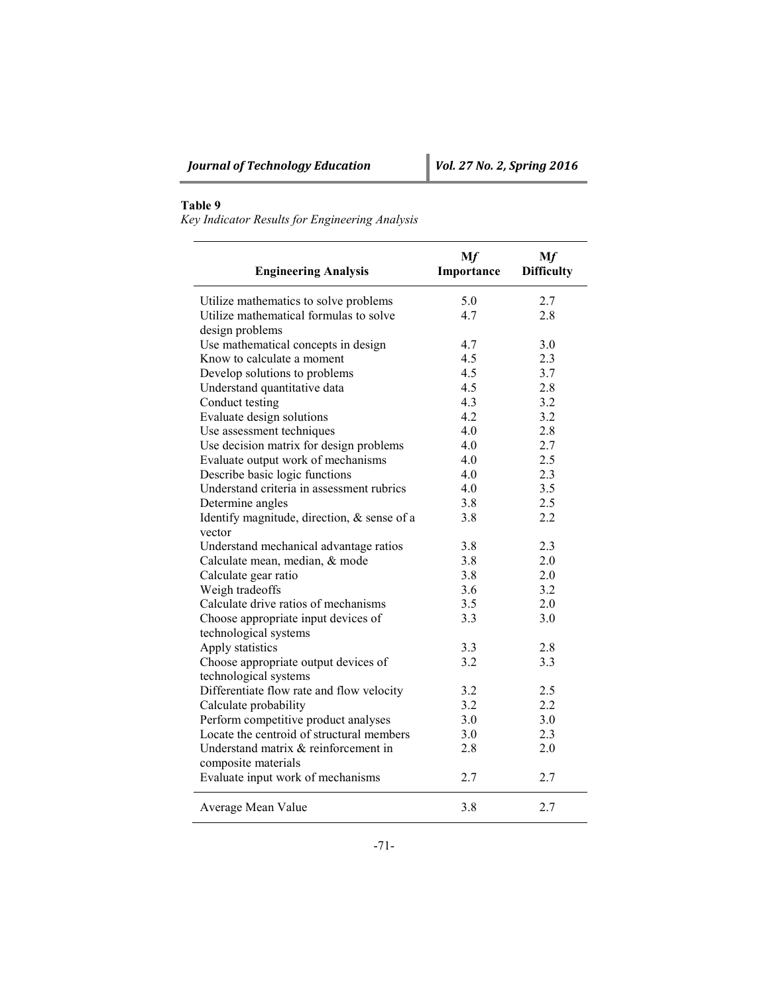# **Table 9**

*Key Indicator Results for Engineering Analysis*

| <b>Engineering Analysis</b>                 | Mf<br>Importance | Mf<br><b>Difficulty</b> |
|---------------------------------------------|------------------|-------------------------|
| Utilize mathematics to solve problems       | 5.0              | 2.7                     |
| Utilize mathematical formulas to solve      | 4.7              | 2.8                     |
| design problems                             |                  |                         |
| Use mathematical concepts in design         | 4.7              | 3.0                     |
| Know to calculate a moment                  | 4.5              | 2.3                     |
| Develop solutions to problems               | 4.5              | 3.7                     |
| Understand quantitative data                | 4.5              | 2.8                     |
| Conduct testing                             | 4.3              | 3.2                     |
| Evaluate design solutions                   | 4.2              | 3.2                     |
| Use assessment techniques                   | 4.0              | 2.8                     |
| Use decision matrix for design problems     | 4.0              | 2.7                     |
| Evaluate output work of mechanisms          | 4.0              | 2.5                     |
| Describe basic logic functions              | 4.0              | 2.3                     |
| Understand criteria in assessment rubrics   | 4.0              | 3.5                     |
| Determine angles                            | 3.8              | 2.5                     |
| Identify magnitude, direction, & sense of a | 3.8              | 2.2                     |
| vector                                      |                  |                         |
| Understand mechanical advantage ratios      | 3.8              | 2.3                     |
| Calculate mean, median, & mode              | 3.8              | 2.0                     |
| Calculate gear ratio                        | 3.8              | 2.0                     |
| Weigh tradeoffs                             | 3.6              | 3.2                     |
| Calculate drive ratios of mechanisms        | 3.5              | 2.0                     |
| Choose appropriate input devices of         | 3.3              | 3.0                     |
| technological systems                       |                  |                         |
| Apply statistics                            | 3.3              | 2.8                     |
| Choose appropriate output devices of        | 3.2              | 3.3                     |
| technological systems                       |                  |                         |
| Differentiate flow rate and flow velocity   | 3.2              | 2.5                     |
| Calculate probability                       | 3.2              | 2.2                     |
| Perform competitive product analyses        | 3.0              | 3.0                     |
| Locate the centroid of structural members   | 3.0              | 2.3                     |
| Understand matrix & reinforcement in        | 2.8              | 2.0                     |
| composite materials                         |                  |                         |
| Evaluate input work of mechanisms           | 2.7              | 2.7                     |
| Average Mean Value                          | 3.8              | 2.7                     |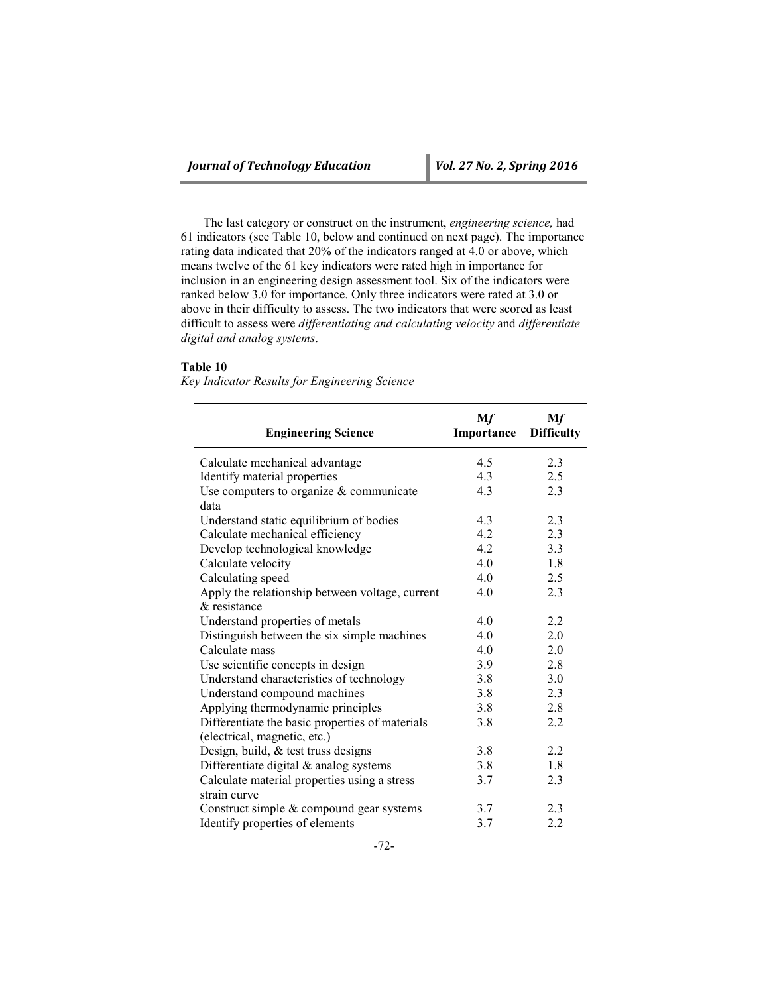The last category or construct on the instrument, *engineering science,* had 61 indicators (see Table 10, below and continued on next page). The importance rating data indicated that 20% of the indicators ranged at 4.0 or above, which means twelve of the 61 key indicators were rated high in importance for inclusion in an engineering design assessment tool. Six of the indicators were ranked below 3.0 for importance. Only three indicators were rated at 3.0 or above in their difficulty to assess. The two indicators that were scored as least difficult to assess were *differentiating and calculating velocity* and *differentiate digital and analog systems*.

# **Table 10**

*Key Indicator Results for Engineering Science*

| <b>Engineering Science</b>                      | Mf<br>Importance | Mf<br><b>Difficulty</b> |
|-------------------------------------------------|------------------|-------------------------|
| Calculate mechanical advantage                  | 4.5              | 2.3                     |
| Identify material properties                    | 4.3              | 2.5                     |
| Use computers to organize $&$ communicate       | 4.3              | 2.3                     |
| data                                            |                  |                         |
| Understand static equilibrium of bodies         | 4.3              | 2.3                     |
| Calculate mechanical efficiency                 | 4.2              | 2.3                     |
| Develop technological knowledge                 | 4.2              | 3.3                     |
| Calculate velocity                              | 4.0              | 1.8                     |
| Calculating speed                               | 4.0              | 2.5                     |
| Apply the relationship between voltage, current | 4.0              | 2.3                     |
| & resistance                                    |                  |                         |
| Understand properties of metals                 | 4.0              | 2.2                     |
| Distinguish between the six simple machines     | 4.0              | 2.0                     |
| Calculate mass                                  | 4.0              | 2.0                     |
| Use scientific concepts in design               | 3.9              | 2.8                     |
| Understand characteristics of technology        | 3.8              | 3.0                     |
| Understand compound machines                    | 3.8              | 2.3                     |
| Applying thermodynamic principles               | 3.8              | 2.8                     |
| Differentiate the basic properties of materials | 3.8              | 2.2                     |
| (electrical, magnetic, etc.)                    |                  |                         |
| Design, build, & test truss designs             | 3.8              | 2.2                     |
| Differentiate digital $&$ analog systems        | 3.8              | 1.8                     |
| Calculate material properties using a stress    | 3.7              | 2.3                     |
| strain curve                                    |                  |                         |
| Construct simple $&$ compound gear systems      | 3.7              | 2.3                     |
| Identify properties of elements                 | 3.7              | 2.2                     |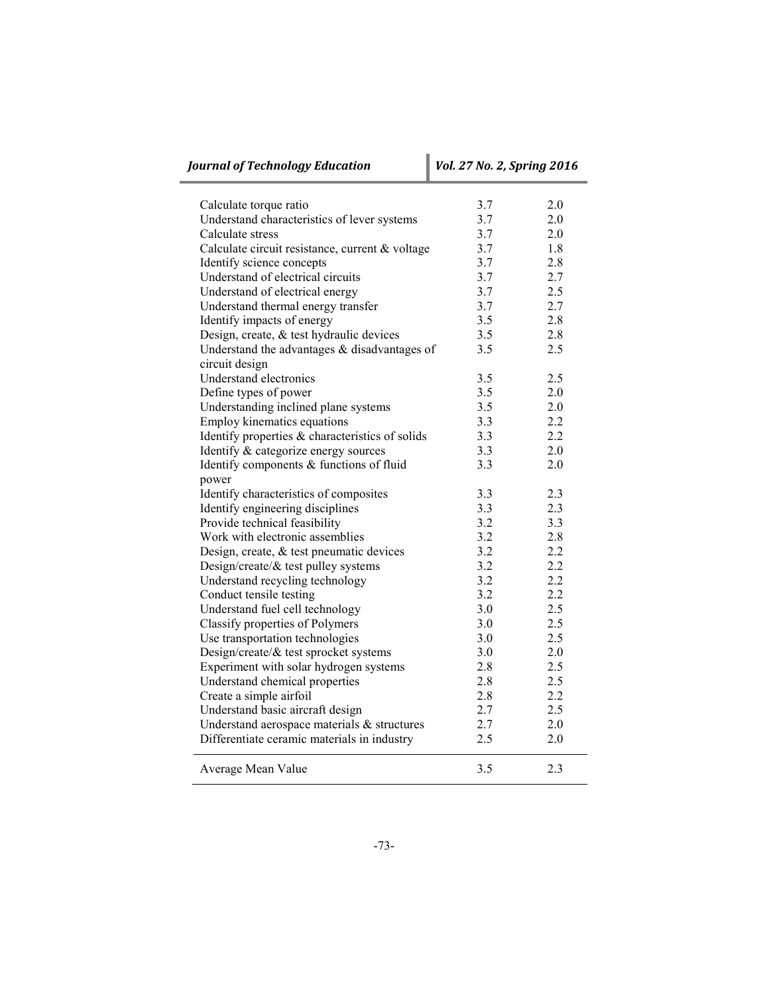| <b>Journal of Technology Education</b><br>Vol. 27 No. 2, Spring 2016 |     |     |
|----------------------------------------------------------------------|-----|-----|
| Calculate torque ratio                                               | 3.7 | 2.0 |
| Understand characteristics of lever systems                          | 3.7 | 2.0 |
| Calculate stress                                                     | 3.7 | 2.0 |
| Calculate circuit resistance, current & voltage                      | 3.7 | 1.8 |
| Identify science concepts                                            | 3.7 | 2.8 |
| Understand of electrical circuits                                    | 3.7 | 2.7 |
| Understand of electrical energy                                      | 3.7 | 2.5 |
| Understand thermal energy transfer                                   | 3.7 | 2.7 |
| Identify impacts of energy                                           | 3.5 | 2.8 |
| Design, create, & test hydraulic devices                             | 3.5 | 2.8 |
| Understand the advantages $&$ disadvantages of                       | 3.5 | 2.5 |
| circuit design                                                       |     |     |
| Understand electronics                                               | 3.5 | 2.5 |
| Define types of power                                                | 3.5 | 2.0 |
| Understanding inclined plane systems                                 | 3.5 | 2.0 |
| Employ kinematics equations                                          | 3.3 | 2.2 |
| Identify properties & characteristics of solids                      | 3.3 | 2.2 |
| Identify & categorize energy sources                                 | 3.3 | 2.0 |
| Identify components & functions of fluid                             | 3.3 | 2.0 |
| power                                                                |     |     |
| Identify characteristics of composites                               | 3.3 | 2.3 |
| Identify engineering disciplines                                     | 3.3 | 2.3 |
| Provide technical feasibility                                        | 3.2 | 3.3 |
| Work with electronic assemblies                                      | 3.2 | 2.8 |
| Design, create, & test pneumatic devices                             | 3.2 | 2.2 |
| Design/create/ $\&$ test pulley systems                              | 3.2 | 2.2 |
| Understand recycling technology                                      | 3.2 | 2.2 |
| Conduct tensile testing                                              | 3.2 | 2.2 |
| Understand fuel cell technology                                      | 3.0 | 2.5 |
| <b>Classify properties of Polymers</b>                               | 3.0 | 2.5 |
| Use transportation technologies                                      | 3.0 | 2.5 |
| Design/create/& test sprocket systems                                | 3.0 | 2.0 |
| Experiment with solar hydrogen systems                               | 2.8 | 2.5 |
|                                                                      | 2.8 | 2.5 |
| Understand chemical properties<br>Create a simple airfoil            | 2.8 | 2.2 |
|                                                                      | 2.7 | 2.5 |
| Understand basic aircraft design                                     | 2.7 | 2.0 |
| Understand aerospace materials & structures                          | 2.5 | 2.0 |
| Differentiate ceramic materials in industry                          |     |     |
| Average Mean Value                                                   | 3.5 | 2.3 |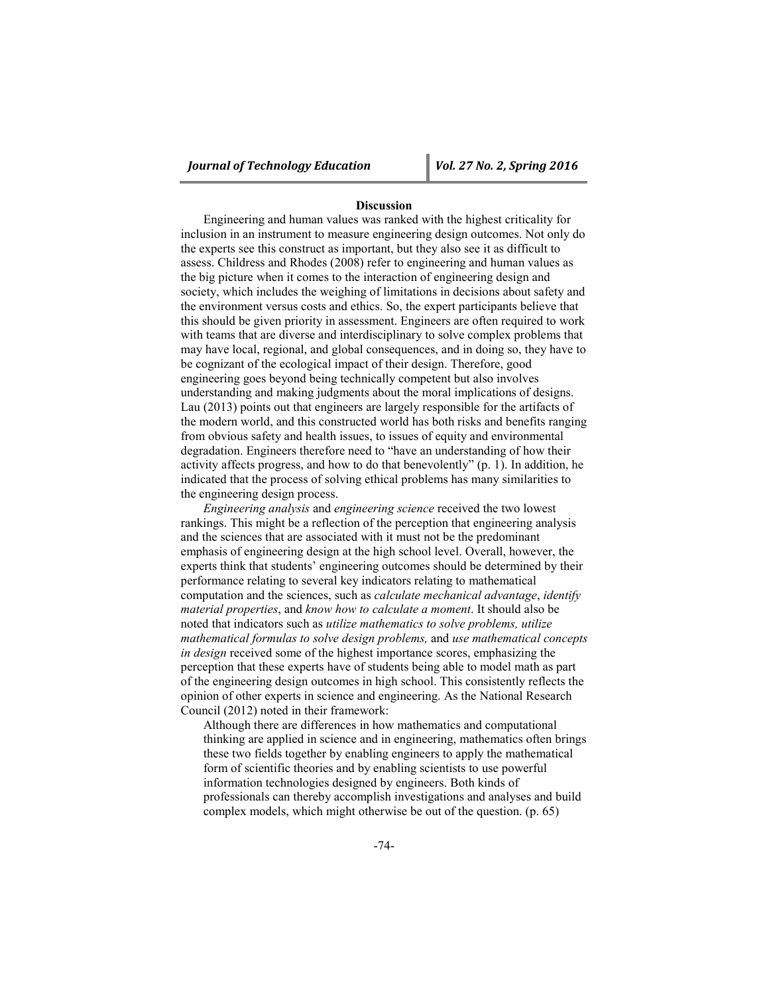# **Discussion**

Engineering and human values was ranked with the highest criticality for inclusion in an instrument to measure engineering design outcomes. Not only do the experts see this construct as important, but they also see it as difficult to assess. Childress and Rhodes (2008) refer to engineering and human values as the big picture when it comes to the interaction of engineering design and society, which includes the weighing of limitations in decisions about safety and the environment versus costs and ethics. So, the expert participants believe that this should be given priority in assessment. Engineers are often required to work with teams that are diverse and interdisciplinary to solve complex problems that may have local, regional, and global consequences, and in doing so, they have to be cognizant of the ecological impact of their design. Therefore, good engineering goes beyond being technically competent but also involves understanding and making judgments about the moral implications of designs. Lau (2013) points out that engineers are largely responsible for the artifacts of the modern world, and this constructed world has both risks and benefits ranging from obvious safety and health issues, to issues of equity and environmental degradation. Engineers therefore need to "have an understanding of how their activity affects progress, and how to do that benevolently" (p. 1). In addition, he indicated that the process of solving ethical problems has many similarities to the engineering design process.

*Engineering analysis* and *engineering science* received the two lowest rankings. This might be a reflection of the perception that engineering analysis and the sciences that are associated with it must not be the predominant emphasis of engineering design at the high school level. Overall, however, the experts think that students' engineering outcomes should be determined by their performance relating to several key indicators relating to mathematical computation and the sciences, such as *calculate mechanical advantage*, *identify material properties*, and *know how to calculate a moment*. It should also be noted that indicators such as *utilize mathematics to solve problems, utilize mathematical formulas to solve design problems,* and *use mathematical concepts in design* received some of the highest importance scores, emphasizing the perception that these experts have of students being able to model math as part of the engineering design outcomes in high school. This consistently reflects the opinion of other experts in science and engineering. As the National Research Council (2012) noted in their framework:

Although there are differences in how mathematics and computational thinking are applied in science and in engineering, mathematics often brings these two fields together by enabling engineers to apply the mathematical form of scientific theories and by enabling scientists to use powerful information technologies designed by engineers. Both kinds of professionals can thereby accomplish investigations and analyses and build complex models, which might otherwise be out of the question. (p. 65)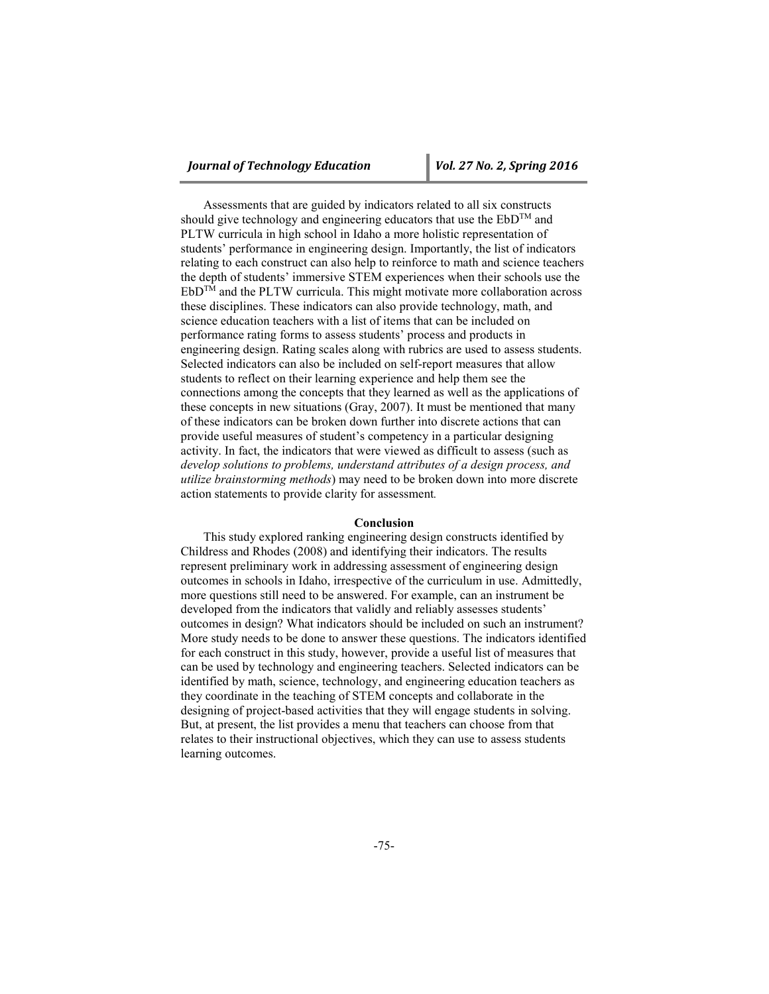Assessments that are guided by indicators related to all six constructs should give technology and engineering educators that use the  $EbD^{TM}$  and PLTW curricula in high school in Idaho a more holistic representation of students' performance in engineering design. Importantly, the list of indicators relating to each construct can also help to reinforce to math and science teachers the depth of students' immersive STEM experiences when their schools use the  $EbD^{TM}$  and the PLTW curricula. This might motivate more collaboration across these disciplines. These indicators can also provide technology, math, and science education teachers with a list of items that can be included on performance rating forms to assess students' process and products in engineering design. Rating scales along with rubrics are used to assess students. Selected indicators can also be included on self-report measures that allow students to reflect on their learning experience and help them see the connections among the concepts that they learned as well as the applications of these concepts in new situations (Gray, 2007). It must be mentioned that many of these indicators can be broken down further into discrete actions that can provide useful measures of student's competency in a particular designing activity. In fact, the indicators that were viewed as difficult to assess (such as *develop solutions to problems, understand attributes of a design process, and utilize brainstorming methods*) may need to be broken down into more discrete action statements to provide clarity for assessment*.*

#### **Conclusion**

This study explored ranking engineering design constructs identified by Childress and Rhodes (2008) and identifying their indicators. The results represent preliminary work in addressing assessment of engineering design outcomes in schools in Idaho, irrespective of the curriculum in use. Admittedly, more questions still need to be answered. For example, can an instrument be developed from the indicators that validly and reliably assesses students' outcomes in design? What indicators should be included on such an instrument? More study needs to be done to answer these questions. The indicators identified for each construct in this study, however, provide a useful list of measures that can be used by technology and engineering teachers. Selected indicators can be identified by math, science, technology, and engineering education teachers as they coordinate in the teaching of STEM concepts and collaborate in the designing of project-based activities that they will engage students in solving. But, at present, the list provides a menu that teachers can choose from that relates to their instructional objectives, which they can use to assess students learning outcomes.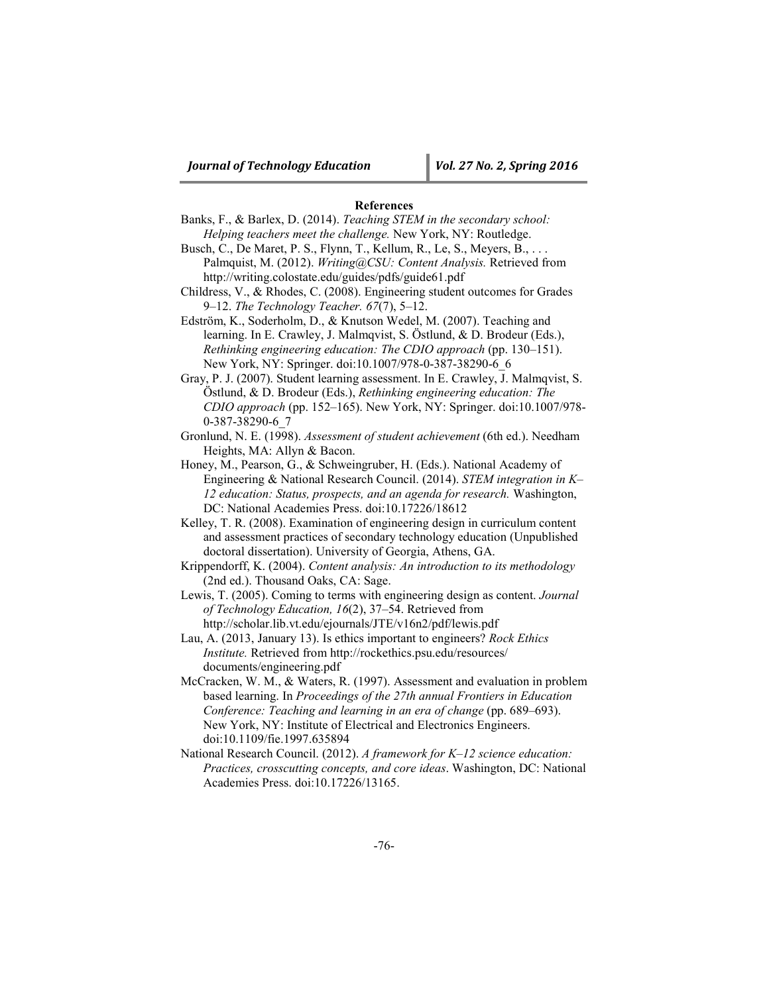# **References**

- Banks, F., & Barlex, D. (2014). *Teaching STEM in the secondary school: Helping teachers meet the challenge.* New York, NY: Routledge.
- Busch, C., De Maret, P. S., Flynn, T., Kellum, R., Le, S., Meyers, B., . . . Palmquist, M. (2012). *Writing@CSU: Content Analysis.* Retrieved from http://writing.colostate.edu/guides/pdfs/guide61.pdf
- Childress, V., & Rhodes, C. (2008). Engineering student outcomes for Grades 9–12. *The Technology Teacher. 67*(7), 5–12.
- Edström, K., Soderholm, D., & Knutson Wedel, M. (2007). Teaching and learning. In E. Crawley, J. Malmqvist, S. Östlund, & D. Brodeur (Eds.), *Rethinking engineering education: The CDIO approach* (pp. 130–151). New York, NY: Springer. doi:10.1007/978-0-387-38290-6\_6

Gray, P. J. (2007). Student learning assessment. In E. Crawley, J. Malmqvist, S. Östlund, & D. Brodeur (Eds.), *Rethinking engineering education: The CDIO approach* (pp. 152–165). New York, NY: Springer. doi:10.1007/978- 0-387-38290-6\_7

Gronlund, N. E. (1998). *Assessment of student achievement* (6th ed.). Needham Heights, MA: Allyn & Bacon.

- Honey, M., Pearson, G., & Schweingruber, H. (Eds.). National Academy of Engineering & National Research Council. (2014). *STEM integration in K– 12 education: Status, prospects, and an agenda for research.* Washington, DC: National Academies Press. doi:10.17226/18612
- Kelley, T. R. (2008). Examination of engineering design in curriculum content and assessment practices of secondary technology education (Unpublished doctoral dissertation). University of Georgia, Athens, GA.
- Krippendorff, K. (2004). *Content analysis: An introduction to its methodology*  (2nd ed.). Thousand Oaks, CA: Sage.
- Lewis, T. (2005). Coming to terms with engineering design as content. *Journal of Technology Education, 16*(2), 37–54. Retrieved from http://scholar.lib.vt.edu/ejournals/JTE/v16n2/pdf/lewis.pdf
- Lau, A. (2013, January 13). Is ethics important to engineers? *Rock Ethics Institute.* Retrieved from http://rockethics.psu.edu/resources/ documents/engineering.pdf
- McCracken, W. M., & Waters, R. (1997). Assessment and evaluation in problem based learning. In *Proceedings of the 27th annual Frontiers in Education Conference: Teaching and learning in an era of change* (pp. 689–693). New York, NY: Institute of Electrical and Electronics Engineers. doi:10.1109/fie.1997.635894
- National Research Council. (2012). *A framework for K–12 science education: Practices, crosscutting concepts, and core ideas*. Washington, DC: National Academies Press. doi:10.17226/13165.